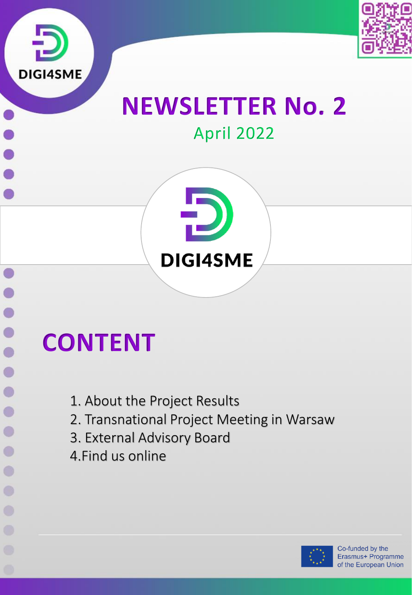



## **NEWSLETTER No. 2** April 2022



# **CONTENT**

 $\bullet$  $\bullet$ 

 $\bullet$ 

 $\bigcirc$ 

 $\bigcirc$ 

 $\bigcap$ 

 $\bigcirc$ 

O

 $\circ$ 

- 1. About the Project Results
- 2. Transnational Project Meeting in Warsaw
- 3. External Advisory Board
- 4.Find us online

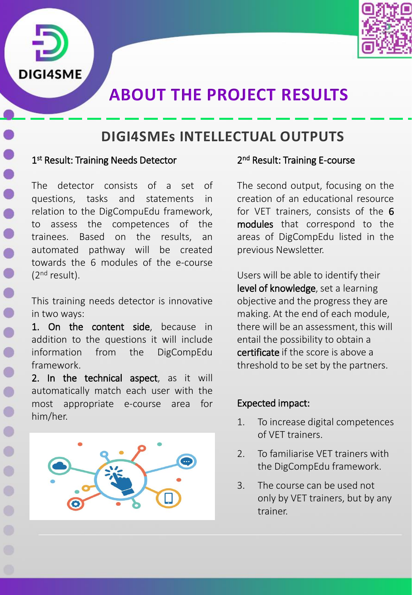



## **ABOUT THE PROJECT RESULTS**

## **DIGI4SMEs INTELLECTUAL OUTPUTS**

#### 1st Result: Training Needs Detector

The detector consists of a set of questions, tasks and statements in relation to the DigCompuEdu framework, to assess the competences of the trainees. Based on the results, an automated pathway will be created towards the 6 modules of the e-course (2<sup>nd</sup> result).

This training needs detector is innovative in two ways:

1. On the content side, because in addition to the questions it will include information from the DigCompEdu framework.

2. In the technical aspect, as it will automatically match each user with the most appropriate e-course area for him/her.



#### 2<sup>nd</sup> Result: Training E-course

The second output, focusing on the creation of an educational resource for VET trainers, consists of the 6 modules that correspond to the areas of DigCompEdu listed in the previous Newsletter.

Users will be able to identify their level of knowledge, set a learning objective and the progress they are making. At the end of each module, there will be an assessment, this will entail the possibility to obtain a certificate if the score is above a threshold to be set by the partners.

#### Expected impact:

- 1. To increase digital competences of VET trainers.
- 2. To familiarise VET trainers with the DigCompEdu framework.
- 3. The course can be used not only by VET trainers, but by any trainer.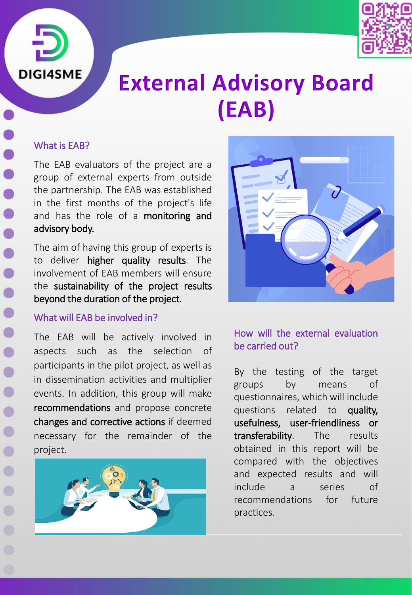



## **External Advisory Board (EAB)**

## What is EAB?

The EAB evaluators of the project are a group of external experts from outside the partnership. The EAB was established in the first months of the project's life and has the role of a **monitoring and** advisory body.

The aim of having this group of experts is to deliver higher quality results. The involvement of EAB members will ensure the sustainability of the project results beyond the duration of the project.

### What will EAB be involved in?

The EAB will be actively involved in aspects such as the selection of participants in the pilot project, as well as in dissemination activities and multiplier events. In addition, this group will make recommendations and propose concrete changes and corrective actions if deemed necessary for the remainder of the project.





## How will the external evaluation be carried out?

By the testing of the target groups by means of questionnaires, which will include questions related to quality, usefulness, user-friendliness or transferability. The results obtained in this report will be compared with the objectives and expected results and will include a series of recommendations for future practices.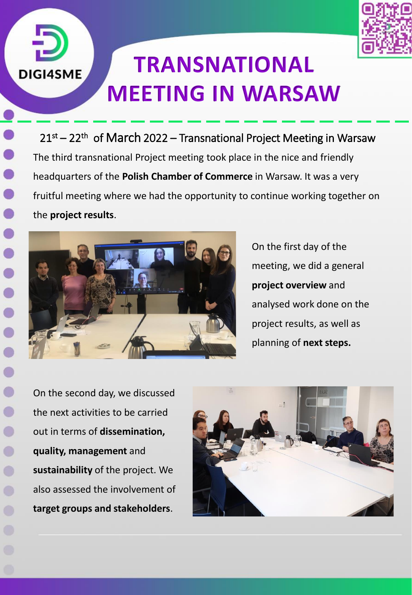

## **TRANSNATIONAL MEETING IN WARSAW**

21st – 22th of March 2022 – Transnational Project Meeting in Warsaw The third transnational Project meeting took place in the nice and friendly headquarters of the **Polish Chamber of Commerce** in Warsaw. It was a very fruitful meeting where we had the opportunity to continue working together on the **project results**.



**DIGI4SME** 

 $\bullet$ 

 $\bullet$ 

 $\bullet$ 

On the first day of the meeting, we did a general **project overview** and analysed work done on the project results, as well as planning of **next steps.**

On the second day, we discussed the next activities to be carried out in terms of **dissemination, quality, management** and **sustainability** of the project. We also assessed the involvement of **target groups and stakeholders**.